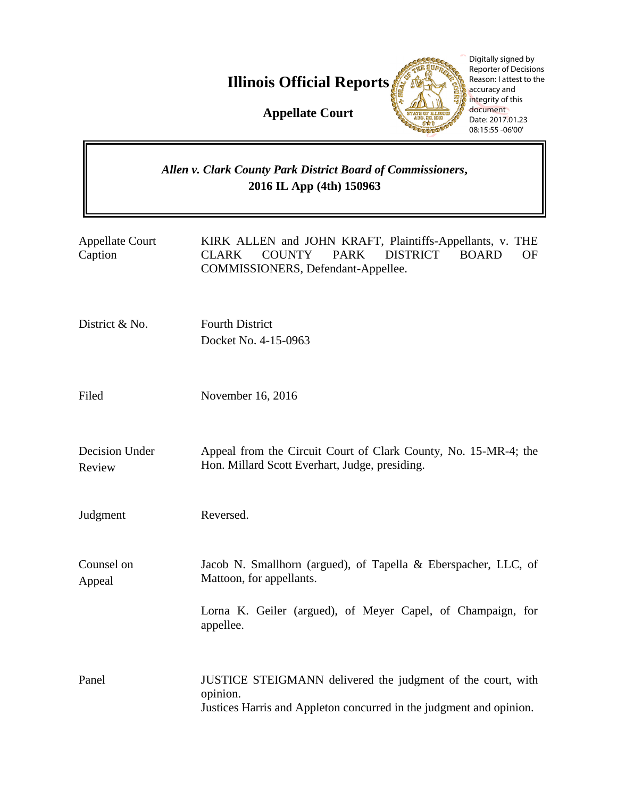**Illinois Official Reports** 

Digitally signed by **HE SUPA** Reporter of Decisions Reason: I attest to the accuracy and integrity of this document Date: 2017.01.23 08:15:55 -06'00'P.

**Appellate Court**

# *Allen v. Clark County Park District Board of Commissioners***, 2016 IL App (4th) 150963**

| <b>Appellate Court</b><br>Caption | KIRK ALLEN and JOHN KRAFT, Plaintiffs-Appellants, v. THE<br>DISTRICT BOARD<br><b>CLARK</b><br><b>COUNTY</b><br><b>PARK</b><br>OF<br>COMMISSIONERS, Defendant-Appellee. |
|-----------------------------------|------------------------------------------------------------------------------------------------------------------------------------------------------------------------|
| District & No.                    | <b>Fourth District</b><br>Docket No. 4-15-0963                                                                                                                         |
| Filed                             | November 16, 2016                                                                                                                                                      |
| Decision Under<br>Review          | Appeal from the Circuit Court of Clark County, No. 15-MR-4; the<br>Hon. Millard Scott Everhart, Judge, presiding.                                                      |
| Judgment                          | Reversed.                                                                                                                                                              |
| Counsel on<br>Appeal              | Jacob N. Smallhorn (argued), of Tapella & Eberspacher, LLC, of<br>Mattoon, for appellants.<br>Lorna K. Geiler (argued), of Meyer Capel, of Champaign, for<br>appellee. |
| Panel                             | JUSTICE STEIGMANN delivered the judgment of the court, with<br>opinion.<br>Justices Harris and Appleton concurred in the judgment and opinion.                         |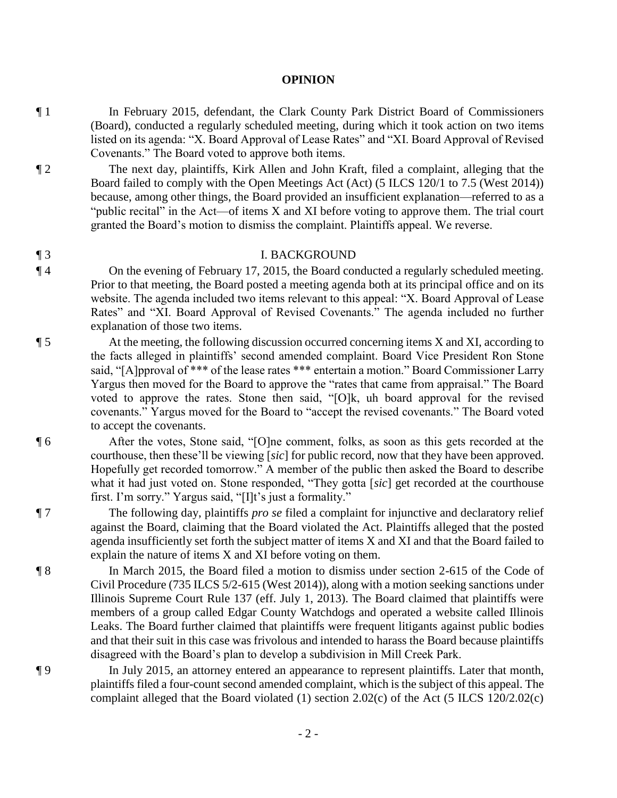#### **OPINION**

- ¶ 1 In February 2015, defendant, the Clark County Park District Board of Commissioners (Board), conducted a regularly scheduled meeting, during which it took action on two items listed on its agenda: "X. Board Approval of Lease Rates" and "XI. Board Approval of Revised Covenants." The Board voted to approve both items.
- ¶ 2 The next day, plaintiffs, Kirk Allen and John Kraft, filed a complaint, alleging that the Board failed to comply with the Open Meetings Act (Act) (5 ILCS 120/1 to 7.5 (West 2014)) because, among other things, the Board provided an insufficient explanation—referred to as a "public recital" in the Act—of items X and XI before voting to approve them. The trial court granted the Board's motion to dismiss the complaint. Plaintiffs appeal. We reverse.

#### ¶ 3 I. BACKGROUND

- ¶ 4 On the evening of February 17, 2015, the Board conducted a regularly scheduled meeting. Prior to that meeting, the Board posted a meeting agenda both at its principal office and on its website. The agenda included two items relevant to this appeal: "X. Board Approval of Lease Rates" and "XI. Board Approval of Revised Covenants." The agenda included no further explanation of those two items.
- ¶ 5 At the meeting, the following discussion occurred concerning items X and XI, according to the facts alleged in plaintiffs' second amended complaint. Board Vice President Ron Stone said, "[A]pproval of \*\*\* of the lease rates \*\*\* entertain a motion." Board Commissioner Larry Yargus then moved for the Board to approve the "rates that came from appraisal." The Board voted to approve the rates. Stone then said, "[O]k, uh board approval for the revised covenants." Yargus moved for the Board to "accept the revised covenants." The Board voted to accept the covenants.

¶ 6 After the votes, Stone said, "[O]ne comment, folks, as soon as this gets recorded at the courthouse, then these'll be viewing [*sic*] for public record, now that they have been approved. Hopefully get recorded tomorrow." A member of the public then asked the Board to describe what it had just voted on. Stone responded, "They gotta [*sic*] get recorded at the courthouse first. I'm sorry." Yargus said, "[I]t's just a formality."

¶ 7 The following day, plaintiffs *pro se* filed a complaint for injunctive and declaratory relief against the Board, claiming that the Board violated the Act. Plaintiffs alleged that the posted agenda insufficiently set forth the subject matter of items X and XI and that the Board failed to explain the nature of items X and XI before voting on them.

¶ 8 In March 2015, the Board filed a motion to dismiss under section 2-615 of the Code of Civil Procedure (735 ILCS 5/2-615 (West 2014)), along with a motion seeking sanctions under Illinois Supreme Court Rule 137 (eff. July 1, 2013). The Board claimed that plaintiffs were members of a group called Edgar County Watchdogs and operated a website called Illinois Leaks. The Board further claimed that plaintiffs were frequent litigants against public bodies and that their suit in this case was frivolous and intended to harass the Board because plaintiffs disagreed with the Board's plan to develop a subdivision in Mill Creek Park.

¶ 9 In July 2015, an attorney entered an appearance to represent plaintiffs. Later that month, plaintiffs filed a four-count second amended complaint, which is the subject of this appeal. The complaint alleged that the Board violated (1) section 2.02(c) of the Act (5 ILCS 120/2.02(c)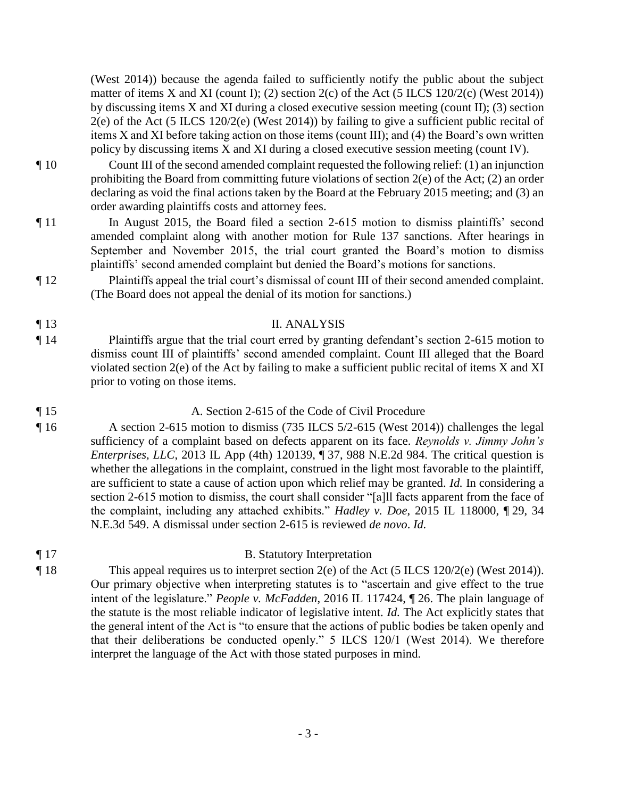(West 2014)) because the agenda failed to sufficiently notify the public about the subject matter of items X and XI (count I); (2) section  $2(c)$  of the Act (5 ILCS 120/2(c) (West 2014)) by discussing items X and XI during a closed executive session meeting (count II); (3) section 2(e) of the Act (5 ILCS 120/2(e) (West 2014)) by failing to give a sufficient public recital of items X and XI before taking action on those items (count III); and (4) the Board's own written policy by discussing items X and XI during a closed executive session meeting (count IV).

- ¶ 10 Count III of the second amended complaint requested the following relief: (1) an injunction prohibiting the Board from committing future violations of section  $2(e)$  of the Act;  $(2)$  an order declaring as void the final actions taken by the Board at the February 2015 meeting; and (3) an order awarding plaintiffs costs and attorney fees.
- ¶ 11 In August 2015, the Board filed a section 2-615 motion to dismiss plaintiffs' second amended complaint along with another motion for Rule 137 sanctions. After hearings in September and November 2015, the trial court granted the Board's motion to dismiss plaintiffs' second amended complaint but denied the Board's motions for sanctions.
- ¶ 12 Plaintiffs appeal the trial court's dismissal of count III of their second amended complaint. (The Board does not appeal the denial of its motion for sanctions.)
- ¶ 13 II. ANALYSIS
- ¶ 14 Plaintiffs argue that the trial court erred by granting defendant's section 2-615 motion to dismiss count III of plaintiffs' second amended complaint. Count III alleged that the Board violated section 2(e) of the Act by failing to make a sufficient public recital of items X and XI prior to voting on those items.

### ¶ 15 A. Section 2-615 of the Code of Civil Procedure

¶ 16 A section 2-615 motion to dismiss (735 ILCS 5/2-615 (West 2014)) challenges the legal sufficiency of a complaint based on defects apparent on its face. *Reynolds v. Jimmy John's Enterprises, LLC*, 2013 IL App (4th) 120139, ¶ 37, 988 N.E.2d 984. The critical question is whether the allegations in the complaint, construed in the light most favorable to the plaintiff, are sufficient to state a cause of action upon which relief may be granted. *Id.* In considering a section 2-615 motion to dismiss, the court shall consider "[a]ll facts apparent from the face of the complaint, including any attached exhibits." *Hadley v. Doe*, 2015 IL 118000, ¶ 29, 34 N.E.3d 549. A dismissal under section 2-615 is reviewed *de novo*. *Id.* 

# ¶ 17 B. Statutory Interpretation

¶ 18 This appeal requires us to interpret section 2(e) of the Act (5 ILCS 120/2(e) (West 2014)). Our primary objective when interpreting statutes is to "ascertain and give effect to the true intent of the legislature." *People v. McFadden*, 2016 IL 117424, ¶ 26. The plain language of the statute is the most reliable indicator of legislative intent. *Id.* The Act explicitly states that the general intent of the Act is "to ensure that the actions of public bodies be taken openly and that their deliberations be conducted openly." 5 ILCS 120/1 (West 2014). We therefore interpret the language of the Act with those stated purposes in mind.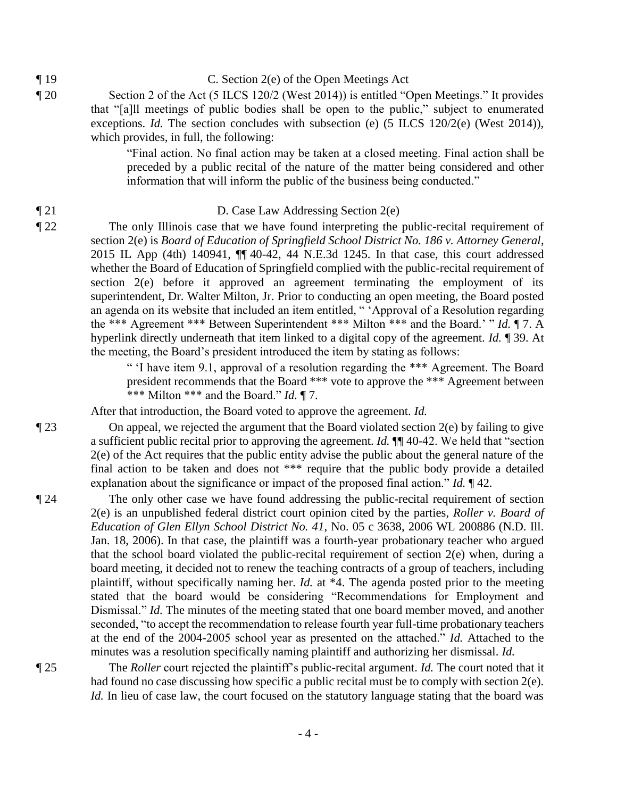- ¶ 19 C. Section 2(e) of the Open Meetings Act
- ¶ 20 Section 2 of the Act (5 ILCS 120/2 (West 2014)) is entitled "Open Meetings." It provides that "[a]ll meetings of public bodies shall be open to the public," subject to enumerated exceptions. *Id.* The section concludes with subsection (e) (5 ILCS 120/2(e) (West 2014)), which provides, in full, the following:

"Final action. No final action may be taken at a closed meeting. Final action shall be preceded by a public recital of the nature of the matter being considered and other information that will inform the public of the business being conducted."

#### ¶ 21 D. Case Law Addressing Section 2(e)

¶ 22 The only Illinois case that we have found interpreting the public-recital requirement of section 2(e) is *Board of Education of Springfield School District No. 186 v. Attorney General*, 2015 IL App (4th) 140941, ¶¶ 40-42, 44 N.E.3d 1245. In that case, this court addressed whether the Board of Education of Springfield complied with the public-recital requirement of section 2(e) before it approved an agreement terminating the employment of its superintendent, Dr. Walter Milton, Jr. Prior to conducting an open meeting, the Board posted an agenda on its website that included an item entitled, " 'Approval of a Resolution regarding the \*\*\* Agreement \*\*\* Between Superintendent \*\*\* Milton \*\*\* and the Board.' " *Id.* ¶ 7. A hyperlink directly underneath that item linked to a digital copy of the agreement. *Id.* ¶ 39. At the meeting, the Board's president introduced the item by stating as follows:

> " 'I have item 9.1, approval of a resolution regarding the \*\*\* Agreement. The Board president recommends that the Board \*\*\* vote to approve the \*\*\* Agreement between \*\*\* Milton \*\*\* and the Board." *Id.* ¶ 7.

After that introduction, the Board voted to approve the agreement. *Id.*

¶ 23 On appeal, we rejected the argument that the Board violated section 2(e) by failing to give a sufficient public recital prior to approving the agreement. *Id.* ¶¶ 40-42. We held that "section 2(e) of the Act requires that the public entity advise the public about the general nature of the final action to be taken and does not \*\*\* require that the public body provide a detailed explanation about the significance or impact of the proposed final action." *Id.* ¶ 42.

¶ 24 The only other case we have found addressing the public-recital requirement of section 2(e) is an unpublished federal district court opinion cited by the parties, *Roller v. Board of Education of Glen Ellyn School District No. 41*, No. 05 c 3638, 2006 WL 200886 (N.D. Ill. Jan. 18, 2006). In that case, the plaintiff was a fourth-year probationary teacher who argued that the school board violated the public-recital requirement of section 2(e) when, during a board meeting, it decided not to renew the teaching contracts of a group of teachers, including plaintiff, without specifically naming her. *Id.* at \*4. The agenda posted prior to the meeting stated that the board would be considering "Recommendations for Employment and Dismissal." *Id.* The minutes of the meeting stated that one board member moved, and another seconded, "to accept the recommendation to release fourth year full-time probationary teachers at the end of the 2004-2005 school year as presented on the attached." *Id.* Attached to the minutes was a resolution specifically naming plaintiff and authorizing her dismissal. *Id.*

¶ 25 The *Roller* court rejected the plaintiff's public-recital argument. *Id.* The court noted that it had found no case discussing how specific a public recital must be to comply with section 2(e). *Id.* In lieu of case law, the court focused on the statutory language stating that the board was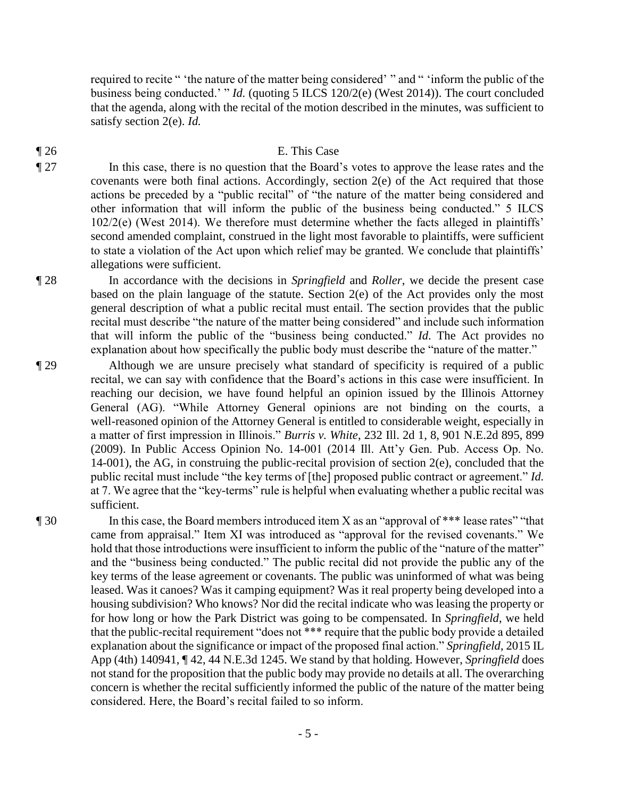required to recite " 'the nature of the matter being considered' " and " 'inform the public of the business being conducted.' " *Id.* (quoting 5 ILCS 120/2(e) (West 2014)). The court concluded that the agenda, along with the recital of the motion described in the minutes, was sufficient to satisfy section 2(e). *Id.* 

### ¶ 26 E. This Case

¶ 27 In this case, there is no question that the Board's votes to approve the lease rates and the covenants were both final actions. Accordingly, section 2(e) of the Act required that those actions be preceded by a "public recital" of "the nature of the matter being considered and other information that will inform the public of the business being conducted." 5 ILCS 102/2(e) (West 2014). We therefore must determine whether the facts alleged in plaintiffs' second amended complaint, construed in the light most favorable to plaintiffs, were sufficient to state a violation of the Act upon which relief may be granted. We conclude that plaintiffs' allegations were sufficient.

¶ 28 In accordance with the decisions in *Springfield* and *Roller*, we decide the present case based on the plain language of the statute. Section 2(e) of the Act provides only the most general description of what a public recital must entail. The section provides that the public recital must describe "the nature of the matter being considered" and include such information that will inform the public of the "business being conducted." *Id*. The Act provides no explanation about how specifically the public body must describe the "nature of the matter."

¶ 29 Although we are unsure precisely what standard of specificity is required of a public recital, we can say with confidence that the Board's actions in this case were insufficient. In reaching our decision, we have found helpful an opinion issued by the Illinois Attorney General (AG). "While Attorney General opinions are not binding on the courts, a well-reasoned opinion of the Attorney General is entitled to considerable weight, especially in a matter of first impression in Illinois." *Burris v. White*, 232 Ill. 2d 1, 8, 901 N.E.2d 895, 899 (2009). In Public Access Opinion No. 14-001 (2014 Ill. Att'y Gen. Pub. Access Op. No. 14-001), the AG, in construing the public-recital provision of section 2(e), concluded that the public recital must include "the key terms of [the] proposed public contract or agreement." *Id.* at 7. We agree that the "key-terms" rule is helpful when evaluating whether a public recital was sufficient.

¶ 30 In this case, the Board members introduced item X as an "approval of \*\*\* lease rates" "that came from appraisal." Item XI was introduced as "approval for the revised covenants." We hold that those introductions were insufficient to inform the public of the "nature of the matter" and the "business being conducted." The public recital did not provide the public any of the key terms of the lease agreement or covenants. The public was uninformed of what was being leased. Was it canoes? Was it camping equipment? Was it real property being developed into a housing subdivision? Who knows? Nor did the recital indicate who was leasing the property or for how long or how the Park District was going to be compensated. In *Springfield*, we held that the public-recital requirement "does not \*\*\* require that the public body provide a detailed explanation about the significance or impact of the proposed final action." *Springfield*, 2015 IL App (4th) 140941, ¶ 42, 44 N.E.3d 1245. We stand by that holding. However, *Springfield* does not stand for the proposition that the public body may provide no details at all. The overarching concern is whether the recital sufficiently informed the public of the nature of the matter being considered. Here, the Board's recital failed to so inform.